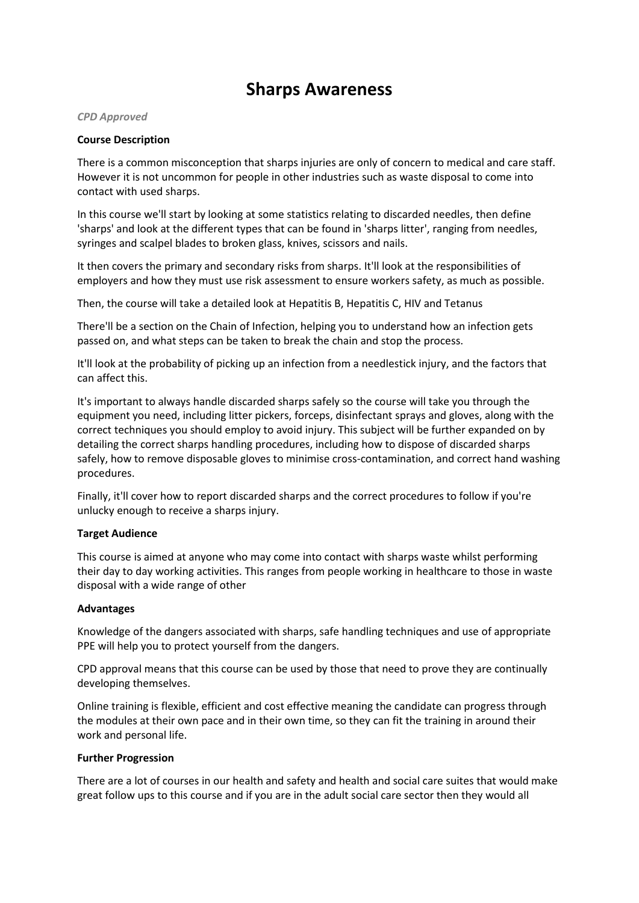# **Sharps Awareness**

#### *CPD Approved*

## **Course Description**

There is a common misconception that sharps injuries are only of concern to medical and care staff. However it is not uncommon for people in other industries such as waste disposal to come into contact with used sharps.

In this course we'll start by looking at some statistics relating to discarded needles, then define 'sharps' and look at the different types that can be found in 'sharps litter', ranging from needles, syringes and scalpel blades to broken glass, knives, scissors and nails.

It then covers the primary and secondary risks from sharps. It'll look at the responsibilities of employers and how they must use risk assessment to ensure workers safety, as much as possible.

Then, the course will take a detailed look at Hepatitis B, Hepatitis C, HIV and Tetanus

There'll be a section on the Chain of Infection, helping you to understand how an infection gets passed on, and what steps can be taken to break the chain and stop the process.

It'll look at the probability of picking up an infection from a needlestick injury, and the factors that can affect this.

It's important to always handle discarded sharps safely so the course will take you through the equipment you need, including litter pickers, forceps, disinfectant sprays and gloves, along with the correct techniques you should employ to avoid injury. This subject will be further expanded on by detailing the correct sharps handling procedures, including how to dispose of discarded sharps safely, how to remove disposable gloves to minimise cross-contamination, and correct hand washing procedures.

Finally, it'll cover how to report discarded sharps and the correct procedures to follow if you're unlucky enough to receive a sharps injury.

## **Target Audience**

This course is aimed at anyone who may come into contact with sharps waste whilst performing their day to day working activities. This ranges from people working in healthcare to those in waste disposal with a wide range of other

## **Advantages**

Knowledge of the dangers associated with sharps, safe handling techniques and use of appropriate PPE will help you to protect yourself from the dangers.

CPD approval means that this course can be used by those that need to prove they are continually developing themselves.

Online training is flexible, efficient and cost effective meaning the candidate can progress through the modules at their own pace and in their own time, so they can fit the training in around their work and personal life.

## **Further Progression**

There are a lot of courses in our health and safety and health and social care suites that would make great follow ups to this course and if you are in the adult social care sector then they would all